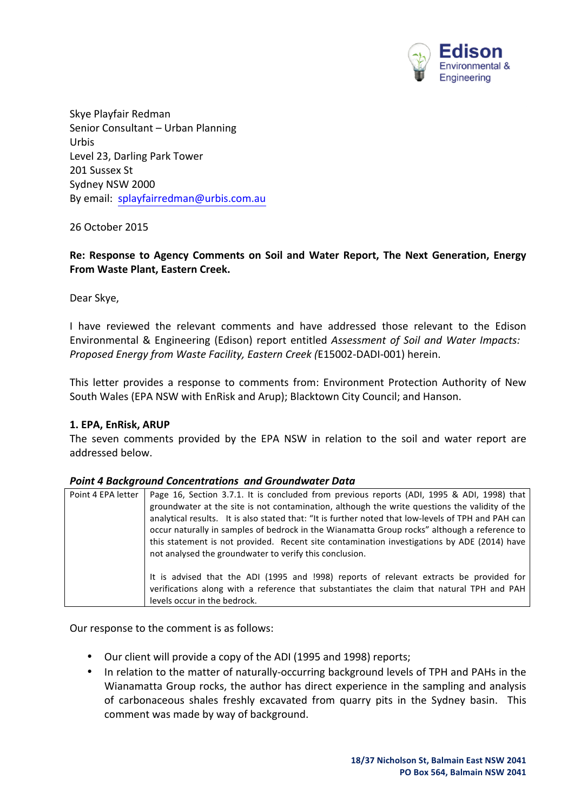

Skye Playfair Redman Senior Consultant - Urban Planning Urbis Level 23, Darling Park Tower 201 Sussex St Sydney NSW 2000 By email: splayfairredman@urbis.com.au

26 October 2015 

## Re: Response to Agency Comments on Soil and Water Report, The Next Generation, Energy **From Waste Plant, Eastern Creek.**

Dear Skye,

I have reviewed the relevant comments and have addressed those relevant to the Edison Environmental & Engineering (Edison) report entitled *Assessment of Soil and Water Impacts: Proposed Energy from Waste Facility, Eastern Creek (E15002-DADI-001)* herein.

This letter provides a response to comments from: Environment Protection Authority of New South Wales (EPA NSW with EnRisk and Arup); Blacktown City Council; and Hanson.

## **1. EPA, EnRisk, ARUP**

The seven comments provided by the EPA NSW in relation to the soil and water report are addressed below.

## **Point 4 Background Concentrations and Groundwater Data**

| Point 4 EPA letter | Page 16, Section 3.7.1. It is concluded from previous reports (ADI, 1995 & ADI, 1998) that          |
|--------------------|-----------------------------------------------------------------------------------------------------|
|                    | groundwater at the site is not contamination, although the write questions the validity of the      |
|                    | analytical results. It is also stated that: "It is further noted that low-levels of TPH and PAH can |
|                    | occur naturally in samples of bedrock in the Wianamatta Group rocks" although a reference to        |
|                    | this statement is not provided. Recent site contamination investigations by ADE (2014) have         |
|                    | not analysed the groundwater to verify this conclusion.                                             |
|                    |                                                                                                     |
|                    | It is advised that the ADI (1995 and 1998) reports of relevant extracts be provided for             |
|                    | verifications along with a reference that substantiates the claim that natural TPH and PAH          |
|                    | levels occur in the bedrock.                                                                        |

Our response to the comment is as follows:

- Our client will provide a copy of the ADI (1995 and 1998) reports;
- In relation to the matter of naturally-occurring background levels of TPH and PAHs in the Wianamatta Group rocks, the author has direct experience in the sampling and analysis of carbonaceous shales freshly excavated from quarry pits in the Sydney basin. This comment was made by way of background.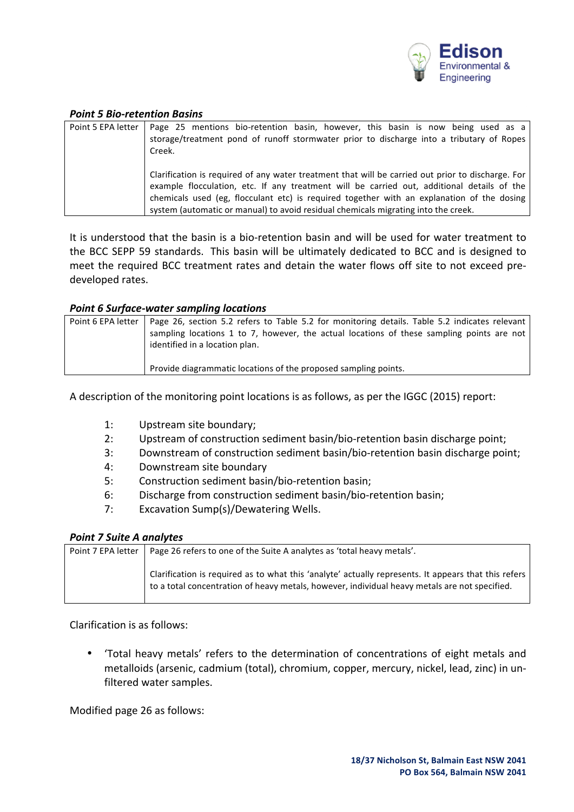

#### *Point 5 Bio-retention Basins*

| Point 5 EPA letter | Page 25 mentions bio-retention basin, however, this basin is now being used as a<br>storage/treatment pond of runoff stormwater prior to discharge into a tributary of Ropes<br>Creek.                                                                                                                                                                                                |
|--------------------|---------------------------------------------------------------------------------------------------------------------------------------------------------------------------------------------------------------------------------------------------------------------------------------------------------------------------------------------------------------------------------------|
|                    | Clarification is required of any water treatment that will be carried out prior to discharge. For<br>example flocculation, etc. If any treatment will be carried out, additional details of the<br>chemicals used (eg, flocculant etc) is required together with an explanation of the dosing  <br>system (automatic or manual) to avoid residual chemicals migrating into the creek. |

It is understood that the basin is a bio-retention basin and will be used for water treatment to the BCC SEPP 59 standards. This basin will be ultimately dedicated to BCC and is designed to meet the required BCC treatment rates and detain the water flows off site to not exceed predeveloped rates.

#### *Point 6 Surface-water sampling locations*

| Point 6 EPA letter | Page 26, section 5.2 refers to Table 5.2 for monitoring details. Table 5.2 indicates relevant |
|--------------------|-----------------------------------------------------------------------------------------------|
|                    | sampling locations 1 to 7, however, the actual locations of these sampling points are not     |
|                    | identified in a location plan.                                                                |
|                    |                                                                                               |
|                    | Provide diagrammatic locations of the proposed sampling points.                               |

A description of the monitoring point locations is as follows, as per the IGGC (2015) report:

- 1: Upstream site boundary;
- 2: Upstream of construction sediment basin/bio-retention basin discharge point;
- 3: Downstream of construction sediment basin/bio-retention basin discharge point;
- 4: Downstream site boundary
- 5: Construction sediment basin/bio-retention basin:
- 6: Discharge from construction sediment basin/bio-retention basin;
- 7: Excavation Sump(s)/Dewatering Wells.

## *Point 7 Suite A analytes*

| Point 7 EPA letter | Page 26 refers to one of the Suite A analytes as 'total heavy metals'.                                                                                                                                |
|--------------------|-------------------------------------------------------------------------------------------------------------------------------------------------------------------------------------------------------|
|                    | Clarification is required as to what this 'analyte' actually represents. It appears that this refers<br>to a total concentration of heavy metals, however, individual heavy metals are not specified. |

Clarification is as follows:

• 'Total heavy metals' refers to the determination of concentrations of eight metals and metalloids (arsenic, cadmium (total), chromium, copper, mercury, nickel, lead, zinc) in unfiltered water samples.

Modified page 26 as follows: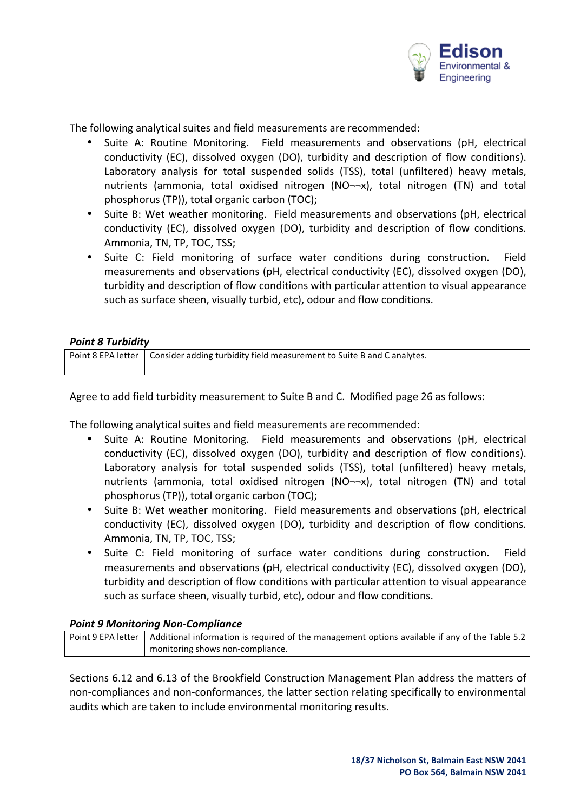

The following analytical suites and field measurements are recommended:

- Suite A: Routine Monitoring. Field measurements and observations (pH, electrical conductivity (EC), dissolved oxygen (DO), turbidity and description of flow conditions). Laboratory analysis for total suspended solids (TSS), total (unfiltered) heavy metals, nutrients (ammonia, total oxidised nitrogen (NO¬¬x), total nitrogen (TN) and total phosphorus (TP)), total organic carbon (TOC);
- Suite B: Wet weather monitoring. Field measurements and observations (pH, electrical conductivity (EC), dissolved oxygen (DO), turbidity and description of flow conditions. Ammonia, TN, TP, TOC, TSS;
- Suite C: Field monitoring of surface water conditions during construction. Field measurements and observations (pH, electrical conductivity (EC), dissolved oxygen (DO), turbidity and description of flow conditions with particular attention to visual appearance such as surface sheen, visually turbid, etc), odour and flow conditions.

## *Point 8 Turbidity*

| Point 8 EPA letter   Consider adding turbidity field measurement to Suite B and C analytes. |
|---------------------------------------------------------------------------------------------|
|                                                                                             |

Agree to add field turbidity measurement to Suite B and C. Modified page 26 as follows:

The following analytical suites and field measurements are recommended:

- Suite A: Routine Monitoring. Field measurements and observations (pH, electrical conductivity (EC), dissolved oxygen (DO), turbidity and description of flow conditions). Laboratory analysis for total suspended solids (TSS), total (unfiltered) heavy metals, nutrients (ammonia, total oxidised nitrogen  $(NO\rightarrow x)$ , total nitrogen  $(TN)$  and total phosphorus (TP)), total organic carbon (TOC);
- Suite B: Wet weather monitoring. Field measurements and observations (pH, electrical conductivity (EC), dissolved oxygen (DO), turbidity and description of flow conditions. Ammonia, TN, TP, TOC, TSS;
- Suite C: Field monitoring of surface water conditions during construction. Field measurements and observations (pH, electrical conductivity (EC), dissolved oxygen (DO), turbidity and description of flow conditions with particular attention to visual appearance such as surface sheen, visually turbid, etc), odour and flow conditions.

#### *Point 9 Monitoring Non-Compliance*

Point 9 EPA letter  $\vert$  Additional information is required of the management options available if any of the Table 5.2 monitoring shows non-compliance.

Sections 6.12 and 6.13 of the Brookfield Construction Management Plan address the matters of non-compliances and non-conformances, the latter section relating specifically to environmental audits which are taken to include environmental monitoring results.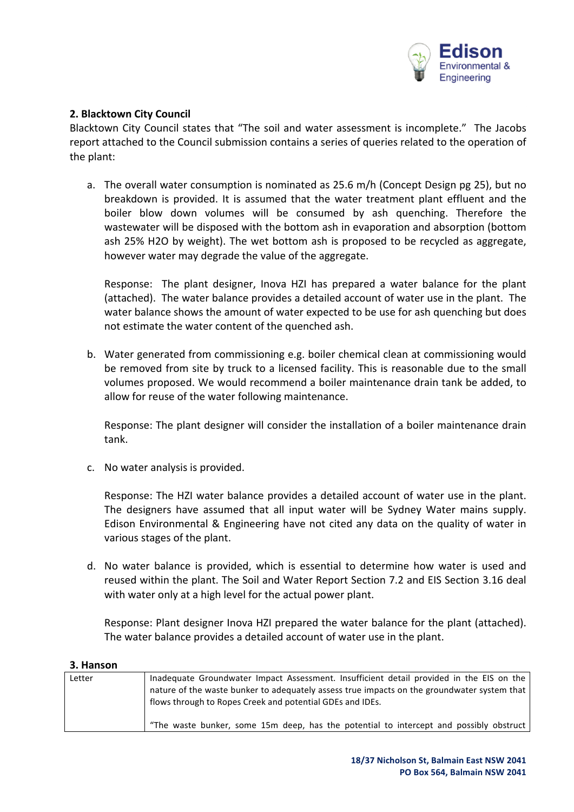

## **2. Blacktown City Council**

Blacktown City Council states that "The soil and water assessment is incomplete." The Jacobs report attached to the Council submission contains a series of queries related to the operation of the plant:

a. The overall water consumption is nominated as 25.6 m/h (Concept Design pg 25), but no breakdown is provided. It is assumed that the water treatment plant effluent and the boiler blow down volumes will be consumed by ash quenching. Therefore the wastewater will be disposed with the bottom ash in evaporation and absorption (bottom ash 25% H2O by weight). The wet bottom ash is proposed to be recycled as aggregate, however water may degrade the value of the aggregate.

Response: The plant designer, Inova HZI has prepared a water balance for the plant (attached). The water balance provides a detailed account of water use in the plant. The water balance shows the amount of water expected to be use for ash quenching but does not estimate the water content of the quenched ash.

b. Water generated from commissioning e.g. boiler chemical clean at commissioning would be removed from site by truck to a licensed facility. This is reasonable due to the small volumes proposed. We would recommend a boiler maintenance drain tank be added, to allow for reuse of the water following maintenance.

Response: The plant designer will consider the installation of a boiler maintenance drain tank. 

c. No water analysis is provided.

Response: The HZI water balance provides a detailed account of water use in the plant. The designers have assumed that all input water will be Sydney Water mains supply. Edison Environmental & Engineering have not cited any data on the quality of water in various stages of the plant.

d. No water balance is provided, which is essential to determine how water is used and reused within the plant. The Soil and Water Report Section 7.2 and EIS Section 3.16 deal with water only at a high level for the actual power plant.

Response: Plant designer Inova HZI prepared the water balance for the plant (attached). The water balance provides a detailed account of water use in the plant.

#### **3. Hanson**

| Letter | Inadequate Groundwater Impact Assessment. Insufficient detail provided in the EIS on the    |
|--------|---------------------------------------------------------------------------------------------|
|        | nature of the waste bunker to adequately assess true impacts on the groundwater system that |
|        | flows through to Ropes Creek and potential GDEs and IDEs.                                   |
|        |                                                                                             |
|        | "The waste bunker, some 15m deep, has the potential to intercept and possibly obstruct      |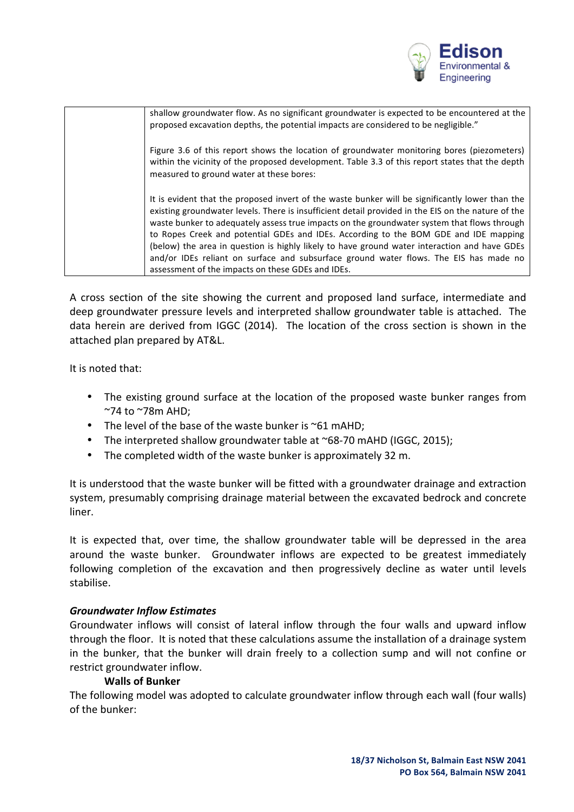

| shallow groundwater flow. As no significant groundwater is expected to be encountered at the<br>proposed excavation depths, the potential impacts are considered to be negligible."                                                                                                                                                                                                                                                                                                                                                                                                                                                        |
|--------------------------------------------------------------------------------------------------------------------------------------------------------------------------------------------------------------------------------------------------------------------------------------------------------------------------------------------------------------------------------------------------------------------------------------------------------------------------------------------------------------------------------------------------------------------------------------------------------------------------------------------|
| Figure 3.6 of this report shows the location of groundwater monitoring bores (piezometers)<br>within the vicinity of the proposed development. Table 3.3 of this report states that the depth<br>measured to ground water at these bores:                                                                                                                                                                                                                                                                                                                                                                                                  |
| It is evident that the proposed invert of the waste bunker will be significantly lower than the<br>existing groundwater levels. There is insufficient detail provided in the EIS on the nature of the<br>waste bunker to adequately assess true impacts on the groundwater system that flows through<br>to Ropes Creek and potential GDEs and IDEs. According to the BOM GDE and IDE mapping<br>(below) the area in question is highly likely to have ground water interaction and have GDEs<br>and/or IDEs reliant on surface and subsurface ground water flows. The EIS has made no<br>assessment of the impacts on these GDEs and IDEs. |

A cross section of the site showing the current and proposed land surface, intermediate and deep groundwater pressure levels and interpreted shallow groundwater table is attached. The data herein are derived from IGGC (2014). The location of the cross section is shown in the attached plan prepared by AT&L.

It is noted that:

- The existing ground surface at the location of the proposed waste bunker ranges from  $~\gamma$ 4 to  $~\gamma$ 8m AHD;
- The level of the base of the waste bunker is  $\sim$ 61 mAHD;
- The interpreted shallow groundwater table at  $\sim$ 68-70 mAHD (IGGC, 2015);
- The completed width of the waste bunker is approximately 32 m.

It is understood that the waste bunker will be fitted with a groundwater drainage and extraction system, presumably comprising drainage material between the excavated bedrock and concrete liner.

It is expected that, over time, the shallow groundwater table will be depressed in the area around the waste bunker. Groundwater inflows are expected to be greatest immediately following completion of the excavation and then progressively decline as water until levels stabilise. 

## *Groundwater Inflow Estimates*

Groundwater inflows will consist of lateral inflow through the four walls and upward inflow through the floor. It is noted that these calculations assume the installation of a drainage system in the bunker, that the bunker will drain freely to a collection sump and will not confine or restrict groundwater inflow.

## **Walls of Bunker**

The following model was adopted to calculate groundwater inflow through each wall (four walls) of the bunker: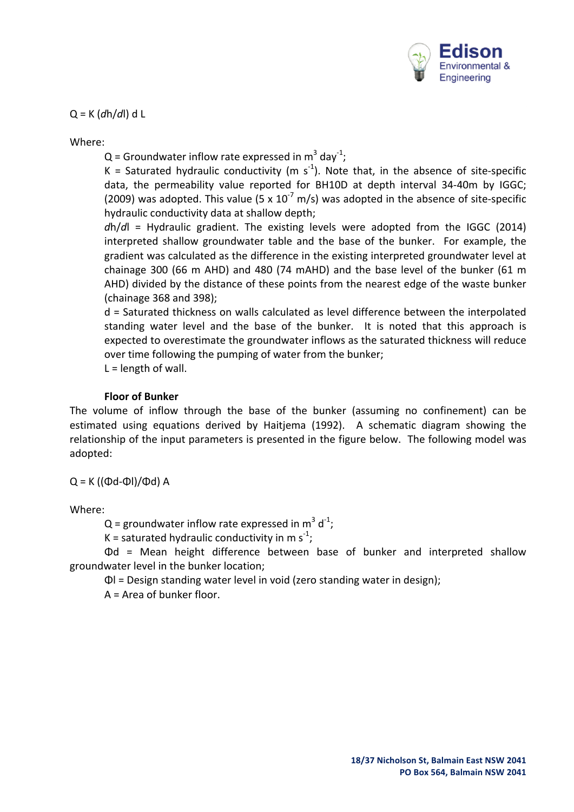

 $Q = K$  (*dh*/*dl*) d L

Where:

 $Q$  = Groundwater inflow rate expressed in  $m^3$  day<sup>-1</sup>;

K = Saturated hydraulic conductivity (m  $s^{-1}$ ). Note that, in the absence of site-specific data, the permeability value reported for BH10D at depth interval 34-40m by IGGC; (2009) was adopted. This value (5 x 10<sup>-7</sup> m/s) was adopted in the absence of site-specific hydraulic conductivity data at shallow depth;

*dh/dl* = Hydraulic gradient. The existing levels were adopted from the IGGC (2014) interpreted shallow groundwater table and the base of the bunker. For example, the gradient was calculated as the difference in the existing interpreted groundwater level at chainage  $300$  (66 m AHD) and  $480$  (74 mAHD) and the base level of the bunker (61 m AHD) divided by the distance of these points from the nearest edge of the waste bunker (chainage 368 and 398);

 $d$  = Saturated thickness on walls calculated as level difference between the interpolated standing water level and the base of the bunker. It is noted that this approach is expected to overestimate the groundwater inflows as the saturated thickness will reduce over time following the pumping of water from the bunker:

 $L =$  length of wall.

## **Floor of Bunker**

The volume of inflow through the base of the bunker (assuming no confinement) can be estimated using equations derived by Haitjema (1992). A schematic diagram showing the relationship of the input parameters is presented in the figure below. The following model was adopted:

 $Q = K ((\Phi d - \Phi I)/\Phi d)$  A

Where:

Q = groundwater inflow rate expressed in  $m^3 d^{-1}$ ;

K = saturated hydraulic conductivity in m s<sup>-1</sup>;

Φd = Mean height difference between base of bunker and interpreted shallow groundwater level in the bunker location;

 $\Phi$ l = Design standing water level in void (zero standing water in design);

 $A = Area of buncher floor.$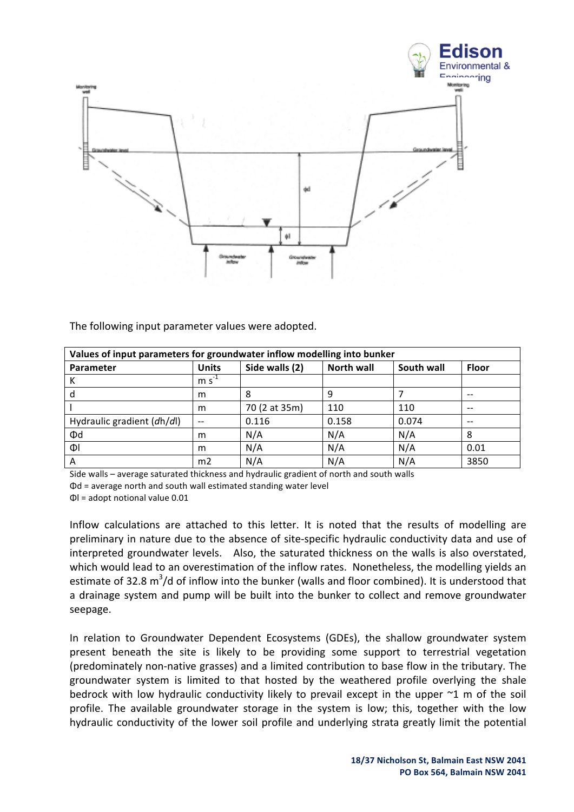

The following input parameter values were adopted.

| Values of input parameters for groundwater inflow modelling into bunker |              |                |                   |            |              |
|-------------------------------------------------------------------------|--------------|----------------|-------------------|------------|--------------|
| Parameter                                                               | <b>Units</b> | Side walls (2) | <b>North wall</b> | South wall | <b>Floor</b> |
| К                                                                       | $m s-1$      |                |                   |            |              |
| d                                                                       | m            | 8              | 9                 |            | $- -$        |
|                                                                         | m            | 70 (2 at 35m)  | 110               | 110        | $- -$        |
| Hydraulic gradient (dh/dl)                                              | $-$          | 0.116          | 0.158             | 0.074      | $- -$        |
| Φd                                                                      | m            | N/A            | N/A               | N/A        | 8            |
| $\Phi$                                                                  | m            | N/A            | N/A               | N/A        | 0.01         |
| A                                                                       | m2           | N/A            | N/A               | N/A        | 3850         |

Side walls – average saturated thickness and hydraulic gradient of north and south walls

 $\Phi$ d = average north and south wall estimated standing water level

 $\Phi$ l = adopt notional value 0.01

Inflow calculations are attached to this letter. It is noted that the results of modelling are preliminary in nature due to the absence of site-specific hydraulic conductivity data and use of interpreted groundwater levels. Also, the saturated thickness on the walls is also overstated, which would lead to an overestimation of the inflow rates. Nonetheless, the modelling yields an estimate of 32.8 m<sup>3</sup>/d of inflow into the bunker (walls and floor combined). It is understood that a drainage system and pump will be built into the bunker to collect and remove groundwater seepage. 

In relation to Groundwater Dependent Ecosystems (GDEs), the shallow groundwater system present beneath the site is likely to be providing some support to terrestrial vegetation (predominately non-native grasses) and a limited contribution to base flow in the tributary. The groundwater system is limited to that hosted by the weathered profile overlying the shale bedrock with low hydraulic conductivity likely to prevail except in the upper  $\sim$ 1 m of the soil profile. The available groundwater storage in the system is low; this, together with the low hydraulic conductivity of the lower soil profile and underlying strata greatly limit the potential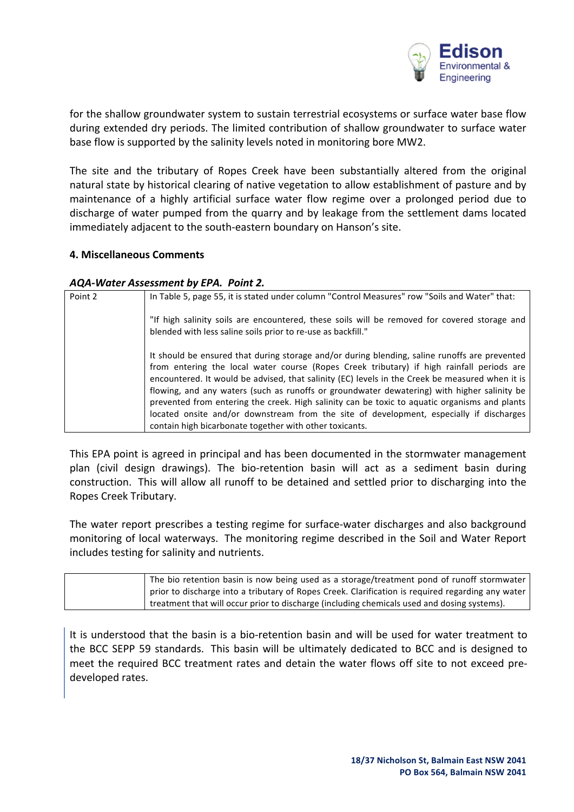

for the shallow groundwater system to sustain terrestrial ecosystems or surface water base flow during extended dry periods. The limited contribution of shallow groundwater to surface water base flow is supported by the salinity levels noted in monitoring bore MW2.

The site and the tributary of Ropes Creek have been substantially altered from the original natural state by historical clearing of native vegetation to allow establishment of pasture and by maintenance of a highly artificial surface water flow regime over a prolonged period due to discharge of water pumped from the quarry and by leakage from the settlement dams located immediately adjacent to the south-eastern boundary on Hanson's site.

#### **4. Miscellaneous Comments**

#### *AQA-Water Assessment by EPA. Point 2.*

| Point 2 | In Table 5, page 55, it is stated under column "Control Measures" row "Soils and Water" that:                                                                                                                                                                                                                                                                                                                                                                                                                                                                                                                                                       |
|---------|-----------------------------------------------------------------------------------------------------------------------------------------------------------------------------------------------------------------------------------------------------------------------------------------------------------------------------------------------------------------------------------------------------------------------------------------------------------------------------------------------------------------------------------------------------------------------------------------------------------------------------------------------------|
|         | "If high salinity soils are encountered, these soils will be removed for covered storage and<br>blended with less saline soils prior to re-use as backfill."                                                                                                                                                                                                                                                                                                                                                                                                                                                                                        |
|         | It should be ensured that during storage and/or during blending, saline runoffs are prevented<br>from entering the local water course (Ropes Creek tributary) if high rainfall periods are<br>encountered. It would be advised, that salinity (EC) levels in the Creek be measured when it is<br>flowing, and any waters (such as runoffs or groundwater dewatering) with higher salinity be<br>prevented from entering the creek. High salinity can be toxic to aquatic organisms and plants<br>located onsite and/or downstream from the site of development, especially if discharges<br>contain high bicarbonate together with other toxicants. |

This EPA point is agreed in principal and has been documented in the stormwater management plan (civil design drawings). The bio-retention basin will act as a sediment basin during construction. This will allow all runoff to be detained and settled prior to discharging into the Ropes Creek Tributary.

The water report prescribes a testing regime for surface-water discharges and also background monitoring of local waterways. The monitoring regime described in the Soil and Water Report includes testing for salinity and nutrients.

| The bio retention basin is now being used as a storage/treatment pond of runoff stormwater        |
|---------------------------------------------------------------------------------------------------|
| prior to discharge into a tributary of Ropes Creek. Clarification is required regarding any water |
| treatment that will occur prior to discharge (including chemicals used and dosing systems).       |

It is understood that the basin is a bio-retention basin and will be used for water treatment to the BCC SEPP 59 standards. This basin will be ultimately dedicated to BCC and is designed to meet the required BCC treatment rates and detain the water flows off site to not exceed predeveloped rates.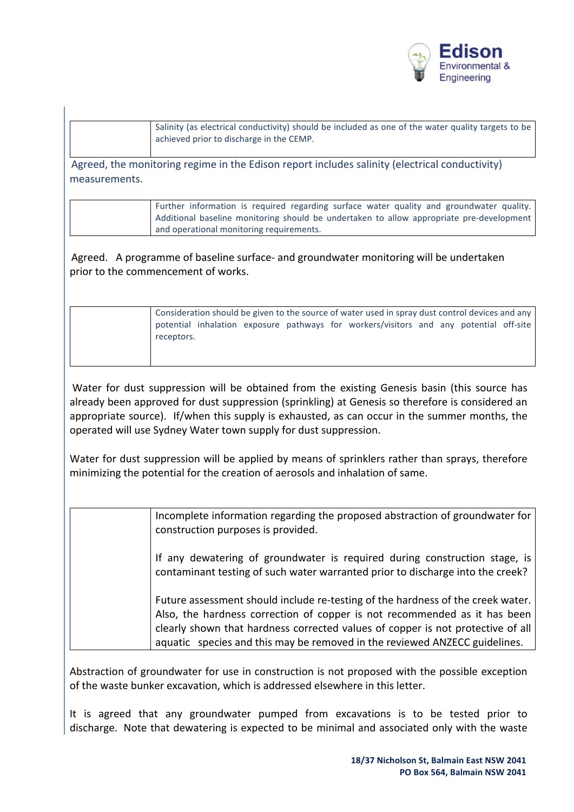

| Salinity (as electrical conductivity) should be included as one of the water quality targets to be<br>achieved prior to discharge in the CEMP. |
|------------------------------------------------------------------------------------------------------------------------------------------------|
|                                                                                                                                                |

Agreed, the monitoring regime in the Edison report includes salinity (electrical conductivity) measurements.

| Further information is required regarding surface water quality and groundwater quality. |
|------------------------------------------------------------------------------------------|
| Additional baseline monitoring should be undertaken to allow appropriate pre-development |
| and operational monitoring requirements.                                                 |

Agreed. A programme of baseline surface- and groundwater monitoring will be undertaken prior to the commencement of works.

|            |  |  | Consideration should be given to the source of water used in spray dust control devices and any |  |  |
|------------|--|--|-------------------------------------------------------------------------------------------------|--|--|
|            |  |  | potential inhalation exposure pathways for workers/visitors and any potential off-site          |  |  |
| receptors. |  |  |                                                                                                 |  |  |
|            |  |  |                                                                                                 |  |  |

Water for dust suppression will be obtained from the existing Genesis basin (this source has already been approved for dust suppression (sprinkling) at Genesis so therefore is considered an appropriate source). If/when this supply is exhausted, as can occur in the summer months, the operated will use Sydney Water town supply for dust suppression.

Water for dust suppression will be applied by means of sprinklers rather than sprays, therefore minimizing the potential for the creation of aerosols and inhalation of same.

| Incomplete information regarding the proposed abstraction of groundwater for<br>construction purposes is provided.                                                                                                                                                                                                            |
|-------------------------------------------------------------------------------------------------------------------------------------------------------------------------------------------------------------------------------------------------------------------------------------------------------------------------------|
| If any dewatering of groundwater is required during construction stage, is<br>contaminant testing of such water warranted prior to discharge into the creek?                                                                                                                                                                  |
| Future assessment should include re-testing of the hardness of the creek water.<br>Also, the hardness correction of copper is not recommended as it has been<br>clearly shown that hardness corrected values of copper is not protective of all<br>aquatic species and this may be removed in the reviewed ANZECC guidelines. |

Abstraction of groundwater for use in construction is not proposed with the possible exception of the waste bunker excavation, which is addressed elsewhere in this letter.

It is agreed that any groundwater pumped from excavations is to be tested prior to discharge. Note that dewatering is expected to be minimal and associated only with the waste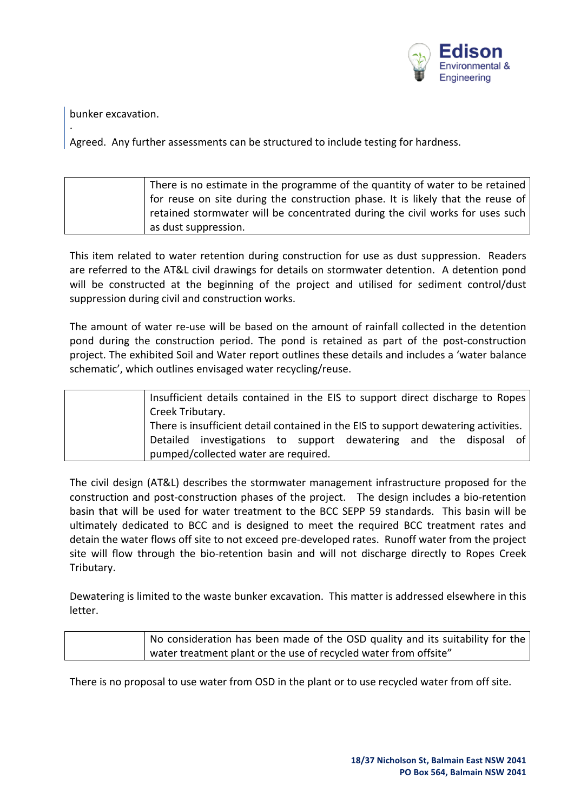

bunker excavation.

· 

Agreed. Any further assessments can be structured to include testing for hardness.

| There is no estimate in the programme of the quantity of water to be retained   |
|---------------------------------------------------------------------------------|
| for reuse on site during the construction phase. It is likely that the reuse of |
| retained stormwater will be concentrated during the civil works for uses such   |
| as dust suppression.                                                            |

This item related to water retention during construction for use as dust suppression. Readers are referred to the AT&L civil drawings for details on stormwater detention. A detention pond will be constructed at the beginning of the project and utilised for sediment control/dust suppression during civil and construction works.

The amount of water re-use will be based on the amount of rainfall collected in the detention pond during the construction period. The pond is retained as part of the post-construction project. The exhibited Soil and Water report outlines these details and includes a 'water balance schematic', which outlines envisaged water recycling/reuse.

| Insufficient details contained in the EIS to support direct discharge to Ropes      |                                                                   |  |  |  |  |  |  |  |
|-------------------------------------------------------------------------------------|-------------------------------------------------------------------|--|--|--|--|--|--|--|
|                                                                                     | Creek Tributary.                                                  |  |  |  |  |  |  |  |
| There is insufficient detail contained in the EIS to support dewatering activities. |                                                                   |  |  |  |  |  |  |  |
|                                                                                     | Detailed investigations to support dewatering and the disposal of |  |  |  |  |  |  |  |
| pumped/collected water are required.                                                |                                                                   |  |  |  |  |  |  |  |

The civil design (AT&L) describes the stormwater management infrastructure proposed for the construction and post-construction phases of the project. The design includes a bio-retention basin that will be used for water treatment to the BCC SEPP 59 standards. This basin will be ultimately dedicated to BCC and is designed to meet the required BCC treatment rates and detain the water flows off site to not exceed pre-developed rates. Runoff water from the project site will flow through the bio-retention basin and will not discharge directly to Ropes Creek Tributary. 

Dewatering is limited to the waste bunker excavation. This matter is addressed elsewhere in this letter. 

| No consideration has been made of the OSD quality and its suitability for the |
|-------------------------------------------------------------------------------|
| water treatment plant or the use of recycled water from offsite"              |

There is no proposal to use water from OSD in the plant or to use recycled water from off site.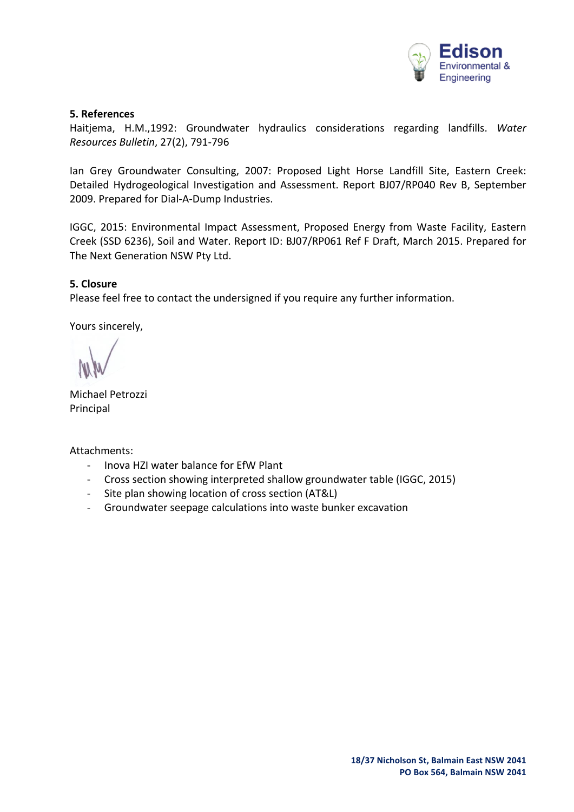

#### **5. References**

Haitjema, H.M.,1992: Groundwater hydraulics considerations regarding landfills. Water *Resources Bulletin*, 27(2), 791-796

Ian Grey Groundwater Consulting, 2007: Proposed Light Horse Landfill Site, Eastern Creek: Detailed Hydrogeological Investigation and Assessment. Report BJ07/RP040 Rev B, September 2009. Prepared for Dial-A-Dump Industries.

IGGC, 2015: Environmental Impact Assessment, Proposed Energy from Waste Facility, Eastern Creek (SSD 6236), Soil and Water. Report ID: BJ07/RP061 Ref F Draft, March 2015. Prepared for The Next Generation NSW Pty Ltd.

## **5. Closure**

Please feel free to contact the undersigned if you require any further information.

Yours sincerely,

Michael Petrozzi Principal 

Attachments:

- Inova HZI water balance for EfW Plant
- Cross section showing interpreted shallow groundwater table (IGGC, 2015)
- Site plan showing location of cross section (AT&L)
- Groundwater seepage calculations into waste bunker excavation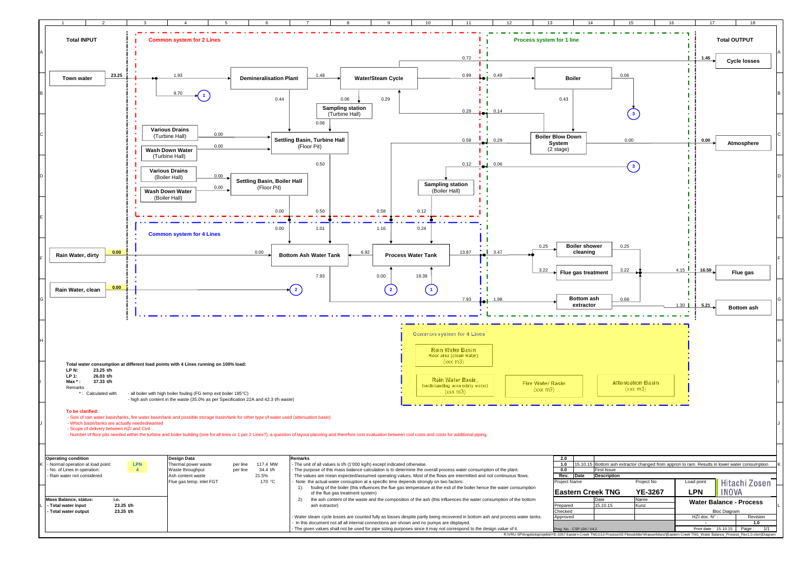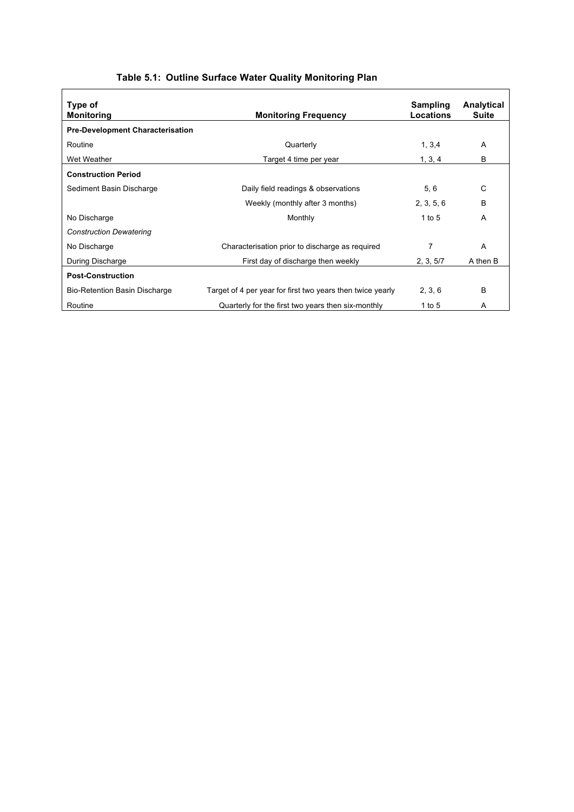| Type of<br><b>Monitoring</b>            | <b>Monitoring Frequency</b>                                | Sampling<br>Locations | Analytical<br>Suite |
|-----------------------------------------|------------------------------------------------------------|-----------------------|---------------------|
| <b>Pre-Development Characterisation</b> |                                                            |                       |                     |
| Routine                                 | Quarterly                                                  | 1, 3, 4               | A                   |
| Wet Weather                             | Target 4 time per year                                     | 1, 3, 4               | в                   |
| <b>Construction Period</b>              |                                                            |                       |                     |
| Sediment Basin Discharge                | Daily field readings & observations                        | 5, 6                  | C                   |
|                                         | Weekly (monthly after 3 months)                            | 2, 3, 5, 6            | B                   |
| No Discharge                            | Monthly                                                    | 1 to 5                | A                   |
| <b>Construction Dewatering</b>          |                                                            |                       |                     |
| No Discharge                            | Characterisation prior to discharge as required            | 7                     | A                   |
| During Discharge                        | First day of discharge then weekly                         | 2, 3, 5/7             | A then B            |
| <b>Post-Construction</b>                |                                                            |                       |                     |
| <b>Bio-Retention Basin Discharge</b>    | Target of 4 per year for first two years then twice yearly | 2, 3, 6               | B                   |
| Routine                                 | Quarterly for the first two years then six-monthly         | 1 to 5                | Α                   |

# **Table 5.1: Outline Surface Water Quality Monitoring Plan**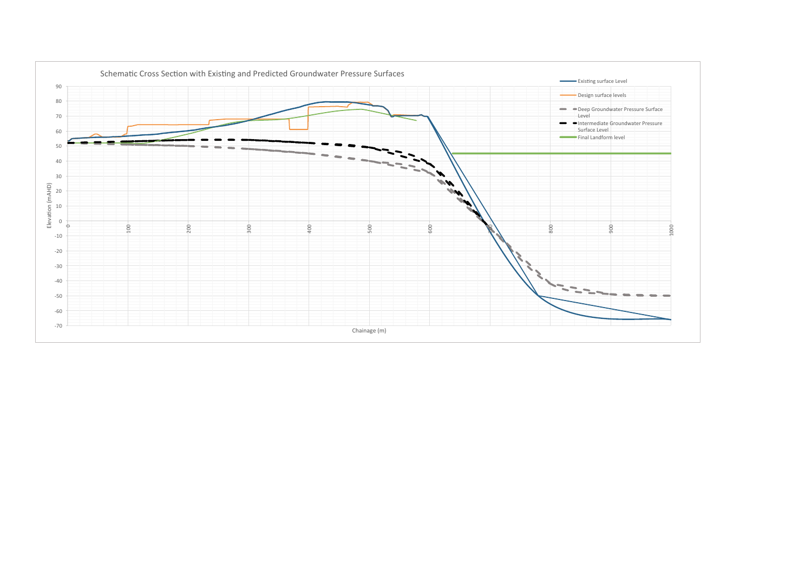